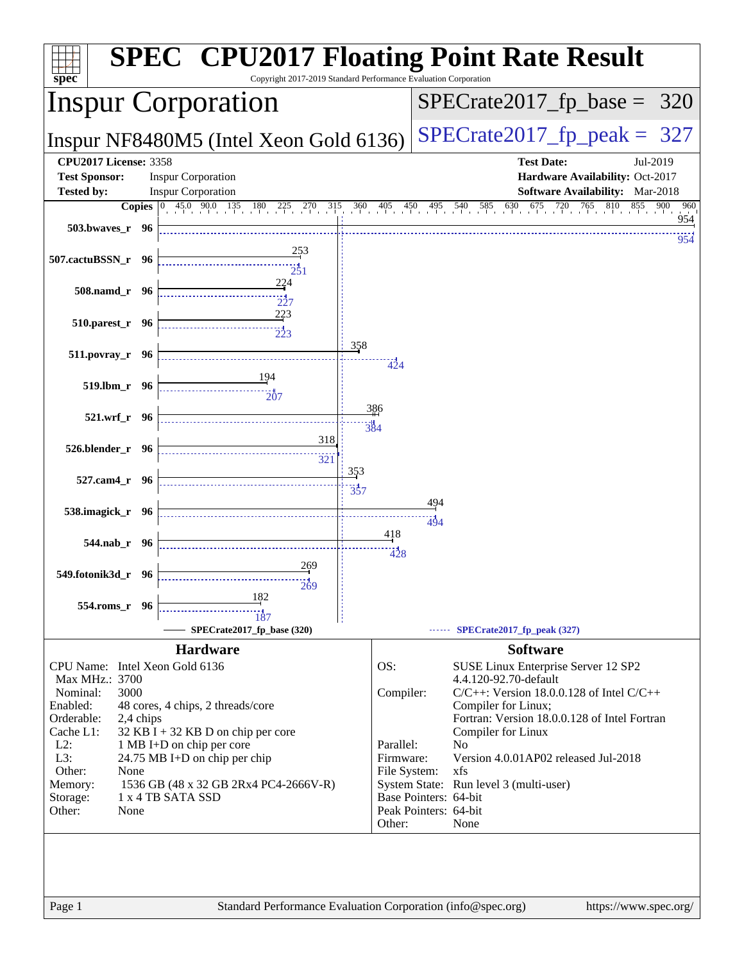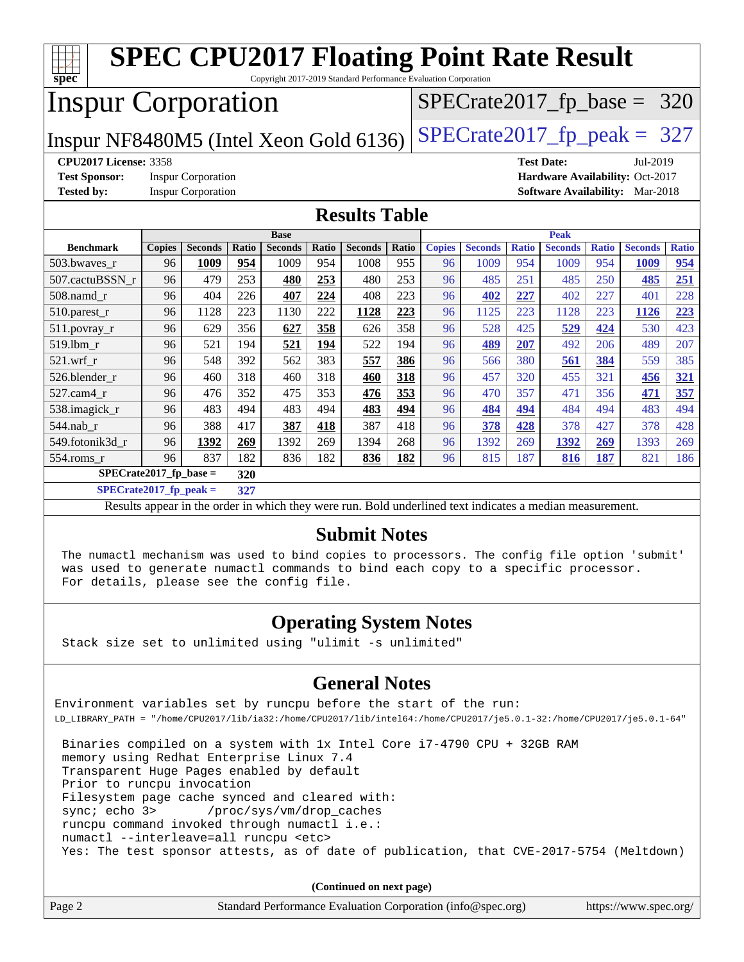| spec                                        |                                                                         |                           |       | Copyright 2017-2019 Standard Performance Evaluation Corporation |       |                     |       |               |                |              | <b>SPEC CPU2017 Floating Point Rate Result</b>                                                           |              |                                        |              |
|---------------------------------------------|-------------------------------------------------------------------------|---------------------------|-------|-----------------------------------------------------------------|-------|---------------------|-------|---------------|----------------|--------------|----------------------------------------------------------------------------------------------------------|--------------|----------------------------------------|--------------|
|                                             | <b>Inspur Corporation</b><br>$SPECrate2017_fp\_base =$<br>320           |                           |       |                                                                 |       |                     |       |               |                |              |                                                                                                          |              |                                        |              |
|                                             | $SPECTate2017$ _fp_peak = 327<br>Inspur NF8480M5 (Intel Xeon Gold 6136) |                           |       |                                                                 |       |                     |       |               |                |              |                                                                                                          |              |                                        |              |
|                                             | <b>CPU2017 License: 3358</b><br><b>Test Date:</b><br>Jul-2019           |                           |       |                                                                 |       |                     |       |               |                |              |                                                                                                          |              |                                        |              |
| <b>Test Sponsor:</b>                        |                                                                         | <b>Inspur Corporation</b> |       |                                                                 |       |                     |       |               |                |              |                                                                                                          |              | Hardware Availability: Oct-2017        |              |
| <b>Tested by:</b>                           |                                                                         | <b>Inspur Corporation</b> |       |                                                                 |       |                     |       |               |                |              |                                                                                                          |              | <b>Software Availability:</b> Mar-2018 |              |
| <b>Results Table</b>                        |                                                                         |                           |       |                                                                 |       |                     |       |               |                |              |                                                                                                          |              |                                        |              |
|                                             | Peak<br><b>Base</b>                                                     |                           |       |                                                                 |       |                     |       |               |                |              |                                                                                                          |              |                                        |              |
| <b>Benchmark</b>                            | <b>Copies</b>                                                           | <b>Seconds</b>            | Ratio | <b>Seconds</b>                                                  | Ratio | <b>Seconds</b>      | Ratio | <b>Copies</b> | <b>Seconds</b> | <b>Ratio</b> | <b>Seconds</b>                                                                                           | <b>Ratio</b> | <b>Seconds</b>                         | <b>Ratio</b> |
| 503.bwaves_r                                | 96                                                                      | 1009                      | 954   | 1009                                                            | 954   | 1008                | 955   | 96            | 1009           | 954          | 1009                                                                                                     | 954          | 1009                                   | 954          |
| 507.cactuBSSN r                             | 96                                                                      | 479                       | 253   | 480                                                             | 253   | 480                 | 253   | 96            | 485            | 251          | 485                                                                                                      | 250          | 485                                    | 251          |
| 508.namd r                                  | 96                                                                      | 404                       | 226   | 407                                                             | 224   | 408                 | 223   | 96            | 402            | 227          | 402                                                                                                      | 227          | 401                                    | 228          |
| 510.parest_r                                | 96                                                                      | 1128                      | 223   | 1130                                                            | 222   | 1128                | 223   | 96            | 1125           | 223          | 1128                                                                                                     | 223          | 1126                                   | 223          |
| 511.povray_r                                | 96                                                                      | 629                       | 356   | 627                                                             | 358   | 626                 | 358   | 96            | 528            | 425          | 529                                                                                                      | 424          | 530                                    | 423          |
| 519.1bm r                                   | 96                                                                      | 521                       | 194   | 521                                                             | 194   | 522                 | 194   | 96            | 489            | 207          | 492                                                                                                      | 206          | 489                                    | 207          |
| $521$ .wrf r                                | 96                                                                      | 548                       | 392   | 562                                                             | 383   | 557                 | 386   | 96            | 566            | 380          | 561                                                                                                      | 384          | 559                                    | 385          |
| 526.blender r                               | 96                                                                      | 460                       | 318   | 460                                                             | 318   | 460                 | 318   | 96            | 457            | 320          | 455                                                                                                      | 321          | 456                                    | 321          |
| 527.cam4_r                                  | 96                                                                      | 476                       | 352   | 475                                                             | 353   | 476                 | 353   | 96            | 470            | 357          | 471                                                                                                      | 356          | 471                                    | 357          |
| 538.imagick_r                               | 96                                                                      | 483                       | 494   | 483                                                             | 494   | 483                 | 494   | 96            | 484            | 494          | 484                                                                                                      | 494          | 483                                    | 494          |
| 544.nab r                                   | 96                                                                      | 388                       | 417   | 387                                                             | 418   | 387                 | 418   | 96            | 378            | 428          | 378                                                                                                      | 427          | 378                                    | 428          |
| 549.fotonik3d r                             | 96                                                                      | 1392                      | 269   | 1392                                                            | 269   | 1394                | 268   | 96            | 1392           | 269          | 1392                                                                                                     | 269          | 1393                                   | 269          |
| 554.roms_r                                  | 96                                                                      | 837                       | 182   | 836                                                             | 182   | 836                 | 182   | 96            | 815            | 187          | 816                                                                                                      | 187          | 821                                    | 186          |
| $\overline{\text{SPE}}$ Crate2017_fp_base = |                                                                         |                           | 320   |                                                                 |       |                     |       |               |                |              |                                                                                                          |              |                                        |              |
| $SPECrate2017$ _fp_peak =                   |                                                                         |                           | 327   |                                                                 |       |                     |       |               |                |              |                                                                                                          |              |                                        |              |
|                                             |                                                                         |                           |       |                                                                 |       |                     |       |               |                |              | Results appear in the order in which they were run. Bold underlined text indicates a median measurement. |              |                                        |              |
|                                             |                                                                         |                           |       |                                                                 |       | <b>Submit Notes</b> |       |               |                |              |                                                                                                          |              |                                        |              |

 The numactl mechanism was used to bind copies to processors. The config file option 'submit' was used to generate numactl commands to bind each copy to a specific processor. For details, please see the config file.

### **[Operating System Notes](http://www.spec.org/auto/cpu2017/Docs/result-fields.html#OperatingSystemNotes)**

Stack size set to unlimited using "ulimit -s unlimited"

### **[General Notes](http://www.spec.org/auto/cpu2017/Docs/result-fields.html#GeneralNotes)**

Environment variables set by runcpu before the start of the run: LD\_LIBRARY\_PATH = "/home/CPU2017/lib/ia32:/home/CPU2017/lib/intel64:/home/CPU2017/je5.0.1-32:/home/CPU2017/je5.0.1-64"

 Binaries compiled on a system with 1x Intel Core i7-4790 CPU + 32GB RAM memory using Redhat Enterprise Linux 7.4 Transparent Huge Pages enabled by default Prior to runcpu invocation Filesystem page cache synced and cleared with: sync; echo 3> /proc/sys/vm/drop\_caches runcpu command invoked through numactl i.e.: numactl --interleave=all runcpu <etc> Yes: The test sponsor attests, as of date of publication, that CVE-2017-5754 (Meltdown)

**(Continued on next page)**

| Page 2 | Standard Performance Evaluation Corporation (info@spec.org) | https://www.spec.org/ |
|--------|-------------------------------------------------------------|-----------------------|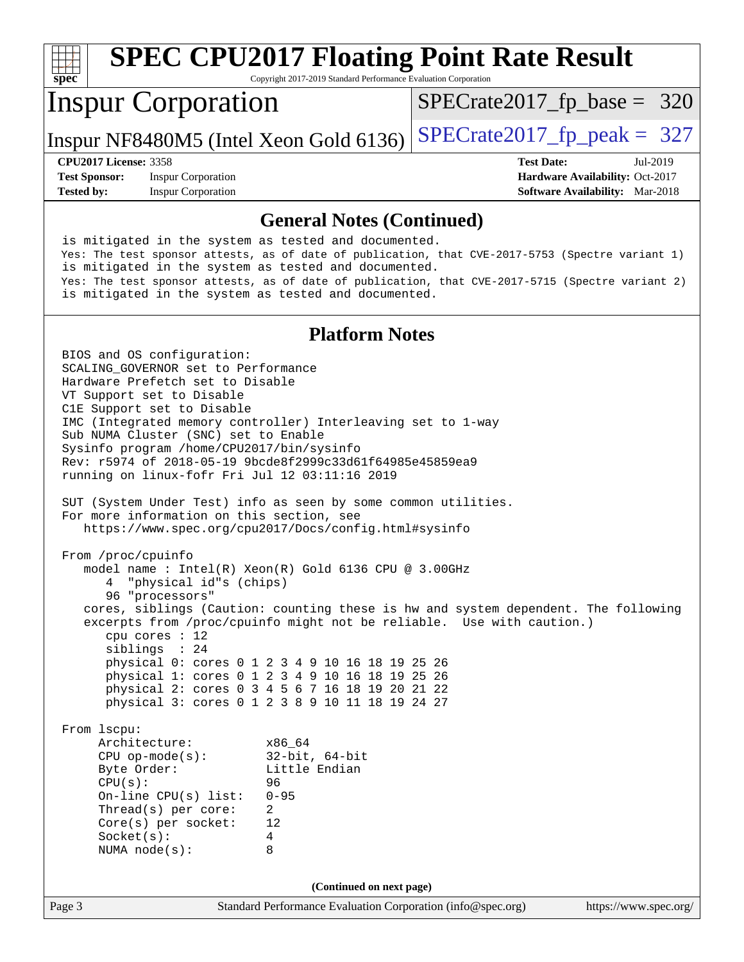| $spec^*$                                                                                                                                                                                                                                                                                                                                                                                                                                   | Copyright 2017-2019 Standard Performance Evaluation Corporation                                                                                                                                                                                                                                                                                                                                                                                                                                                                                                                      | <b>SPEC CPU2017 Floating Point Rate Result</b>                                                                                                                                                       |
|--------------------------------------------------------------------------------------------------------------------------------------------------------------------------------------------------------------------------------------------------------------------------------------------------------------------------------------------------------------------------------------------------------------------------------------------|--------------------------------------------------------------------------------------------------------------------------------------------------------------------------------------------------------------------------------------------------------------------------------------------------------------------------------------------------------------------------------------------------------------------------------------------------------------------------------------------------------------------------------------------------------------------------------------|------------------------------------------------------------------------------------------------------------------------------------------------------------------------------------------------------|
| <b>Inspur Corporation</b>                                                                                                                                                                                                                                                                                                                                                                                                                  |                                                                                                                                                                                                                                                                                                                                                                                                                                                                                                                                                                                      | $SPECrate2017_fp\_base = 320$                                                                                                                                                                        |
|                                                                                                                                                                                                                                                                                                                                                                                                                                            | Inspur NF8480M5 (Intel Xeon Gold 6136)                                                                                                                                                                                                                                                                                                                                                                                                                                                                                                                                               | $SPECTate2017$ _fp_peak = 327                                                                                                                                                                        |
| <b>CPU2017 License: 3358</b><br><b>Test Sponsor:</b><br><b>Inspur Corporation</b><br><b>Tested by:</b><br><b>Inspur Corporation</b>                                                                                                                                                                                                                                                                                                        |                                                                                                                                                                                                                                                                                                                                                                                                                                                                                                                                                                                      | <b>Test Date:</b><br>Jul-2019<br>Hardware Availability: Oct-2017<br><b>Software Availability:</b> Mar-2018                                                                                           |
|                                                                                                                                                                                                                                                                                                                                                                                                                                            | <b>General Notes (Continued)</b>                                                                                                                                                                                                                                                                                                                                                                                                                                                                                                                                                     |                                                                                                                                                                                                      |
|                                                                                                                                                                                                                                                                                                                                                                                                                                            | is mitigated in the system as tested and documented.<br>is mitigated in the system as tested and documented.<br>is mitigated in the system as tested and documented.                                                                                                                                                                                                                                                                                                                                                                                                                 | Yes: The test sponsor attests, as of date of publication, that CVE-2017-5753 (Spectre variant 1)<br>Yes: The test sponsor attests, as of date of publication, that CVE-2017-5715 (Spectre variant 2) |
|                                                                                                                                                                                                                                                                                                                                                                                                                                            | <b>Platform Notes</b>                                                                                                                                                                                                                                                                                                                                                                                                                                                                                                                                                                |                                                                                                                                                                                                      |
| BIOS and OS configuration:<br>SCALING GOVERNOR set to Performance<br>Hardware Prefetch set to Disable<br>VT Support set to Disable<br>ClE Support set to Disable<br>Sub NUMA Cluster (SNC) set to Enable<br>Sysinfo program /home/CPU2017/bin/sysinfo<br>For more information on this section, see<br>From /proc/cpuinfo<br>"physical id"s (chips)<br>96 "processors"<br>cpu cores $: 12$<br>siblings : 24<br>From 1scpu:<br>Architecture: | IMC (Integrated memory controller) Interleaving set to 1-way<br>Rev: r5974 of 2018-05-19 9bcde8f2999c33d61f64985e45859ea9<br>running on linux-fofr Fri Jul 12 03:11:16 2019<br>SUT (System Under Test) info as seen by some common utilities.<br>https://www.spec.org/cpu2017/Docs/config.html#sysinfo<br>model name: Intel(R) Xeon(R) Gold 6136 CPU @ 3.00GHz<br>physical 0: cores 0 1 2 3 4 9 10 16 18 19 25 26<br>physical 1: cores 0 1 2 3 4 9 10 16 18 19 25 26<br>physical 2: cores 0 3 4 5 6 7 16 18 19 20 21 22<br>physical 3: cores 0 1 2 3 8 9 10 11 18 19 24 27<br>x86_64 | cores, siblings (Caution: counting these is hw and system dependent. The following<br>excerpts from /proc/cpuinfo might not be reliable. Use with caution.)                                          |
| $CPU$ op-mode( $s$ ):<br>Byte Order:<br>CPU(s):<br>On-line CPU(s) list:<br>Thread(s) per core:<br>Core(s) per socket:<br>Socket(s):<br>NUMA $node(s):$                                                                                                                                                                                                                                                                                     | $32$ -bit, $64$ -bit<br>Little Endian<br>96<br>$0 - 95$<br>$\overline{a}$<br>12<br>4<br>8                                                                                                                                                                                                                                                                                                                                                                                                                                                                                            |                                                                                                                                                                                                      |
|                                                                                                                                                                                                                                                                                                                                                                                                                                            | (Continued on next page)                                                                                                                                                                                                                                                                                                                                                                                                                                                                                                                                                             |                                                                                                                                                                                                      |
| Page 3                                                                                                                                                                                                                                                                                                                                                                                                                                     | Standard Performance Evaluation Corporation (info@spec.org)                                                                                                                                                                                                                                                                                                                                                                                                                                                                                                                          | https://www.spec.org/                                                                                                                                                                                |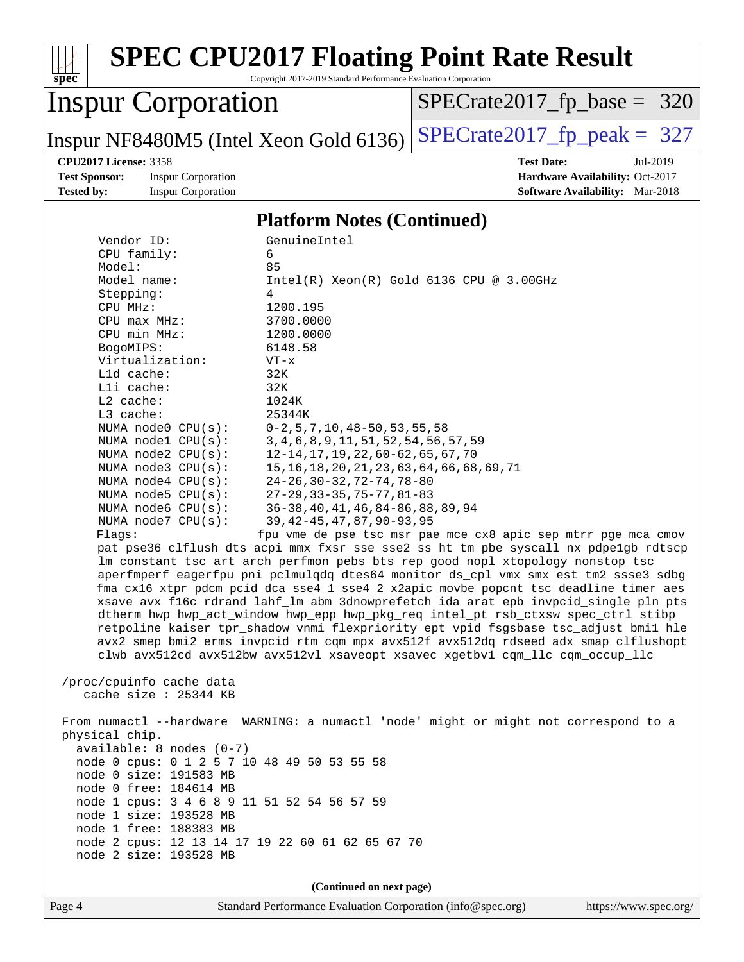

Page 4 Standard Performance Evaluation Corporation [\(info@spec.org\)](mailto:info@spec.org) <https://www.spec.org/>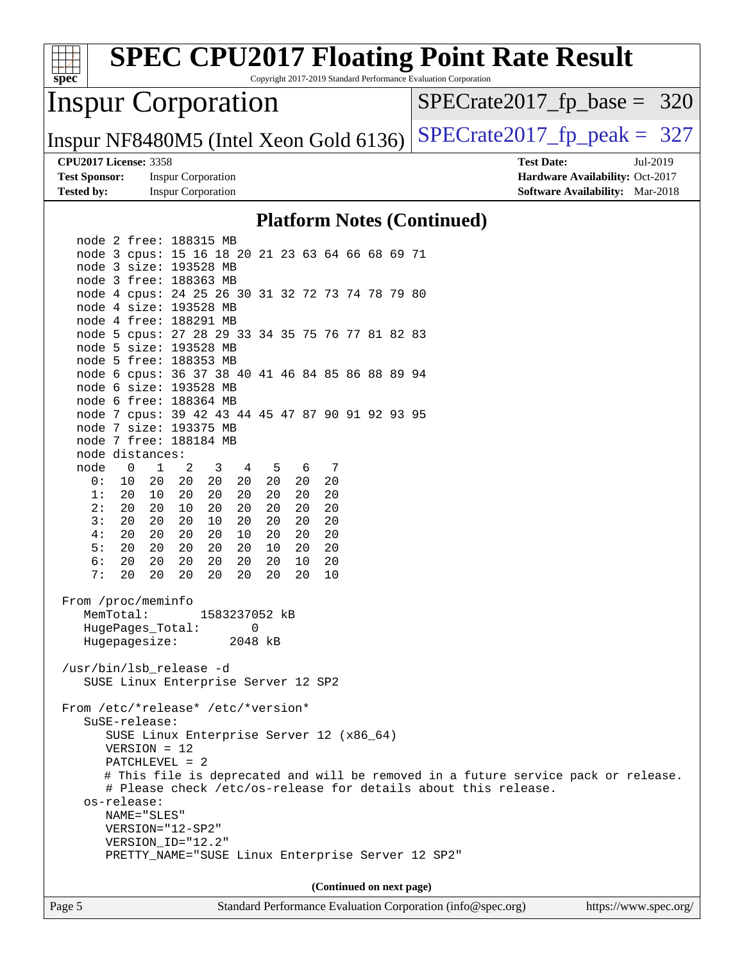| spec <sup>®</sup>                      |                                                                            |                           |               |         |         |    |                          |  | <b>SPEC CPU2017 Floating Point Rate Result</b><br>Copyright 2017-2019 Standard Performance Evaluation Corporation |
|----------------------------------------|----------------------------------------------------------------------------|---------------------------|---------------|---------|---------|----|--------------------------|--|-------------------------------------------------------------------------------------------------------------------|
| <b>Inspur Corporation</b>              |                                                                            |                           |               |         |         |    |                          |  | $SPECTate2017rfp base = 320$                                                                                      |
| Inspur NF8480M5 (Intel Xeon Gold 6136) |                                                                            |                           |               |         |         |    |                          |  | $SPECrate2017_fp\_peak = 327$                                                                                     |
|                                        | <b>CPU2017 License: 3358</b>                                               |                           |               |         |         |    |                          |  | <b>Test Date:</b><br>Jul-2019                                                                                     |
| <b>Test Sponsor:</b>                   |                                                                            | <b>Inspur Corporation</b> |               |         |         |    |                          |  | Hardware Availability: Oct-2017                                                                                   |
| <b>Tested by:</b>                      |                                                                            | <b>Inspur Corporation</b> |               |         |         |    |                          |  | <b>Software Availability:</b> Mar-2018                                                                            |
|                                        |                                                                            |                           |               |         |         |    |                          |  | <b>Platform Notes (Continued)</b>                                                                                 |
|                                        | node 2 free: 188315 MB                                                     |                           |               |         |         |    |                          |  |                                                                                                                   |
|                                        | node 3 cpus: 15 16 18 20 21 23 63 64 66 68 69 71                           |                           |               |         |         |    |                          |  |                                                                                                                   |
|                                        | node 3 size: 193528 MB                                                     |                           |               |         |         |    |                          |  |                                                                                                                   |
|                                        | node 3 free: 188363 MB                                                     |                           |               |         |         |    |                          |  |                                                                                                                   |
|                                        | node 4 cpus: 24 25 26 30 31 32 72 73 74 78 79 80<br>node 4 size: 193528 MB |                           |               |         |         |    |                          |  |                                                                                                                   |
|                                        | node 4 free: 188291 MB                                                     |                           |               |         |         |    |                          |  |                                                                                                                   |
|                                        | node 5 cpus: 27 28 29 33 34 35 75 76 77 81 82 83                           |                           |               |         |         |    |                          |  |                                                                                                                   |
|                                        | node 5 size: 193528 MB                                                     |                           |               |         |         |    |                          |  |                                                                                                                   |
|                                        | node 5 free: 188353 MB                                                     |                           |               |         |         |    |                          |  |                                                                                                                   |
|                                        | node 6 cpus: 36 37 38 40 41 46 84 85 86 88 89 94                           |                           |               |         |         |    |                          |  |                                                                                                                   |
|                                        | node 6 size: 193528 MB                                                     |                           |               |         |         |    |                          |  |                                                                                                                   |
|                                        | node 6 free: 188364 MB                                                     |                           |               |         |         |    |                          |  |                                                                                                                   |
|                                        | node 7 cpus: 39 42 43 44 45 47 87 90 91 92 93 95                           |                           |               |         |         |    |                          |  |                                                                                                                   |
|                                        | node 7 size: 193375 MB                                                     |                           |               |         |         |    |                          |  |                                                                                                                   |
|                                        | node 7 free: 188184 MB                                                     |                           |               |         |         |    |                          |  |                                                                                                                   |
|                                        | node distances:<br>$\mathbf 0$<br>$\mathbf{1}$                             | 2                         | 3             |         |         | 7  |                          |  |                                                                                                                   |
| node<br>0:                             | 10<br>20                                                                   | 20                        | 4<br>20<br>20 | 5<br>20 | 6<br>20 | 20 |                          |  |                                                                                                                   |
| 1:                                     | 20<br>10                                                                   | 20                        | 20<br>20      | 20      | 20      | 20 |                          |  |                                                                                                                   |
| 2:                                     | 20<br>20                                                                   | 10                        | 20<br>20      | 20      | 20      | 20 |                          |  |                                                                                                                   |
| 3:                                     | 20<br>20                                                                   | 20                        | 10<br>20      | 20      | 20      | 20 |                          |  |                                                                                                                   |
| 4:                                     | 20<br>20                                                                   | 20                        | 10<br>20      | 20      | 20      | 20 |                          |  |                                                                                                                   |
| 5:                                     | 20<br>20                                                                   | 20                        | 20<br>20      | 10      | 20      | 20 |                          |  |                                                                                                                   |
| 6:                                     | 20<br>20                                                                   | 20                        | 20<br>20      | 20      | 10      | 20 |                          |  |                                                                                                                   |
| 7:                                     | 20<br>20                                                                   | 20                        | 20<br>20      | 20      | 20      | 10 |                          |  |                                                                                                                   |
|                                        | From /proc/meminfo<br>MemTotal:                                            |                           | 1583237052 kB |         |         |    |                          |  |                                                                                                                   |
|                                        | HugePages_Total:                                                           |                           | $\Omega$      |         |         |    |                          |  |                                                                                                                   |
|                                        | Hugepagesize:                                                              |                           |               | 2048 kB |         |    |                          |  |                                                                                                                   |
|                                        | /usr/bin/lsb_release -d<br>SUSE Linux Enterprise Server 12 SP2             |                           |               |         |         |    |                          |  |                                                                                                                   |
|                                        | From /etc/*release* /etc/*version*<br>$SUSE-release$                       |                           |               |         |         |    |                          |  |                                                                                                                   |
|                                        | SUSE Linux Enterprise Server 12 (x86_64)                                   |                           |               |         |         |    |                          |  |                                                                                                                   |
|                                        | $VERSION = 12$                                                             |                           |               |         |         |    |                          |  |                                                                                                                   |
|                                        | $PATCHLEVEL = 2$                                                           |                           |               |         |         |    |                          |  |                                                                                                                   |
|                                        |                                                                            |                           |               |         |         |    |                          |  | # This file is deprecated and will be removed in a future service pack or release.                                |
|                                        |                                                                            |                           |               |         |         |    |                          |  | # Please check /etc/os-release for details about this release.                                                    |
|                                        | os-release:<br>NAME="SLES"                                                 |                           |               |         |         |    |                          |  |                                                                                                                   |
|                                        | $VERSION = "12-SP2"$                                                       |                           |               |         |         |    |                          |  |                                                                                                                   |
|                                        | VERSION_ID="12.2"                                                          |                           |               |         |         |    |                          |  |                                                                                                                   |
|                                        | PRETTY_NAME="SUSE Linux Enterprise Server 12 SP2"                          |                           |               |         |         |    |                          |  |                                                                                                                   |
|                                        |                                                                            |                           |               |         |         |    |                          |  |                                                                                                                   |
|                                        |                                                                            |                           |               |         |         |    | (Continued on next page) |  |                                                                                                                   |
|                                        |                                                                            |                           |               |         |         |    |                          |  |                                                                                                                   |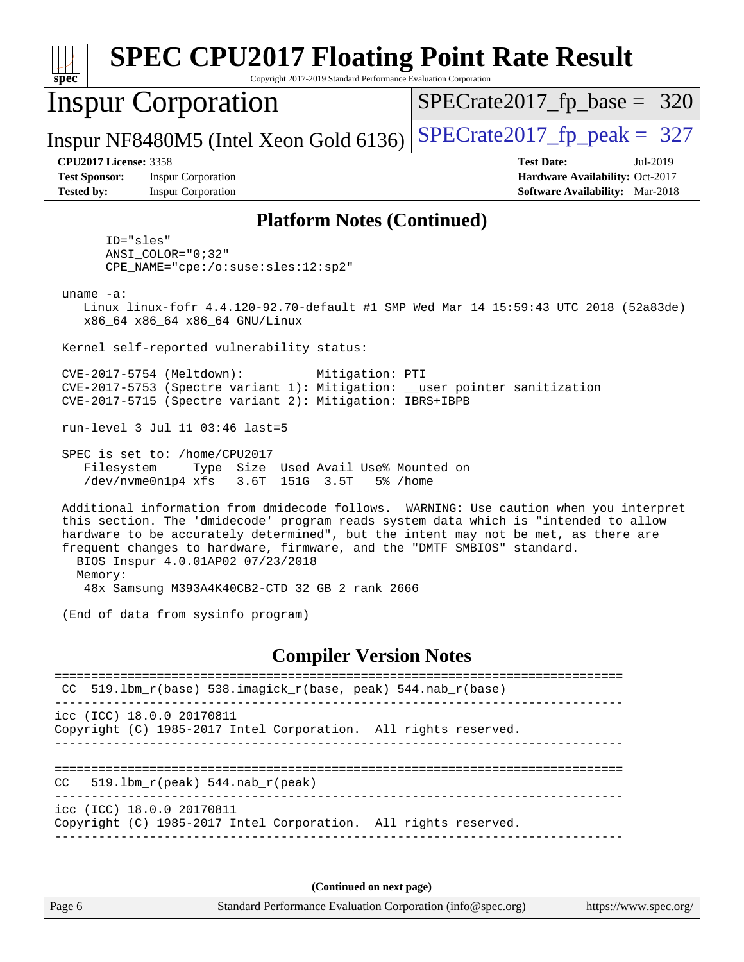| <b>SPEC CPU2017 Floating Point Rate Result</b><br>spec<br>Copyright 2017-2019 Standard Performance Evaluation Corporation                                                                                                                                                                                                                                                                                                                        |                                                                                                            |
|--------------------------------------------------------------------------------------------------------------------------------------------------------------------------------------------------------------------------------------------------------------------------------------------------------------------------------------------------------------------------------------------------------------------------------------------------|------------------------------------------------------------------------------------------------------------|
| <b>Inspur Corporation</b>                                                                                                                                                                                                                                                                                                                                                                                                                        | $SPECrate2017_fp\_base = 320$                                                                              |
| Inspur NF8480M5 (Intel Xeon Gold 6136)                                                                                                                                                                                                                                                                                                                                                                                                           | $SPECrate2017_fp\_peak = 327$                                                                              |
| <b>CPU2017 License: 3358</b><br><b>Test Sponsor:</b><br><b>Inspur Corporation</b><br><b>Tested by:</b><br><b>Inspur Corporation</b>                                                                                                                                                                                                                                                                                                              | <b>Test Date:</b><br>Jul-2019<br>Hardware Availability: Oct-2017<br><b>Software Availability:</b> Mar-2018 |
| <b>Platform Notes (Continued)</b>                                                                                                                                                                                                                                                                                                                                                                                                                |                                                                                                            |
| ID="sles"<br>$ANSI$ _COLOR=" $0:32$ "<br>CPE_NAME="cpe:/o:suse:sles:12:sp2"<br>uname $-a$ :<br>Linux linux-fofr 4.4.120-92.70-default #1 SMP Wed Mar 14 15:59:43 UTC 2018 (52a83de)                                                                                                                                                                                                                                                              |                                                                                                            |
| x86_64 x86_64 x86_64 GNU/Linux<br>Kernel self-reported vulnerability status:                                                                                                                                                                                                                                                                                                                                                                     |                                                                                                            |
| CVE-2017-5754 (Meltdown):<br>Mitigation: PTI<br>CVE-2017-5753 (Spectre variant 1): Mitigation: __user pointer sanitization<br>CVE-2017-5715 (Spectre variant 2): Mitigation: IBRS+IBPB                                                                                                                                                                                                                                                           |                                                                                                            |
| run-level 3 Jul 11 03:46 last=5                                                                                                                                                                                                                                                                                                                                                                                                                  |                                                                                                            |
| SPEC is set to: /home/CPU2017<br>Type Size Used Avail Use% Mounted on<br>Filesystem<br>/dev/nvme0n1p4 xfs 3.6T 151G 3.5T<br>5% /home                                                                                                                                                                                                                                                                                                             |                                                                                                            |
| Additional information from dmidecode follows. WARNING: Use caution when you interpret<br>this section. The 'dmidecode' program reads system data which is "intended to allow<br>hardware to be accurately determined", but the intent may not be met, as there are<br>frequent changes to hardware, firmware, and the "DMTF SMBIOS" standard.<br>BIOS Inspur 4.0.01AP02 07/23/2018<br>Memory:<br>48x Samsung M393A4K40CB2-CTD 32 GB 2 rank 2666 |                                                                                                            |
| (End of data from sysinfo program)                                                                                                                                                                                                                                                                                                                                                                                                               |                                                                                                            |
| <b>Compiler Version Notes</b>                                                                                                                                                                                                                                                                                                                                                                                                                    |                                                                                                            |
| $519.1$ bm_r(base) $538.imagick_r(base, peak)$ 544.nab_r(base)                                                                                                                                                                                                                                                                                                                                                                                   |                                                                                                            |
| icc (ICC) 18.0.0 20170811<br>Copyright (C) 1985-2017 Intel Corporation. All rights reserved.                                                                                                                                                                                                                                                                                                                                                     |                                                                                                            |
| $519.1bm_r(peak) 544.nab_r(peak)$<br>CC.                                                                                                                                                                                                                                                                                                                                                                                                         |                                                                                                            |
| icc (ICC) 18.0.0 20170811<br>Copyright (C) 1985-2017 Intel Corporation. All rights reserved.                                                                                                                                                                                                                                                                                                                                                     |                                                                                                            |
| (Continued on next page)                                                                                                                                                                                                                                                                                                                                                                                                                         |                                                                                                            |
| Standard Performance Evaluation Corporation (info@spec.org)<br>Page 6                                                                                                                                                                                                                                                                                                                                                                            | https://www.spec.org/                                                                                      |
|                                                                                                                                                                                                                                                                                                                                                                                                                                                  |                                                                                                            |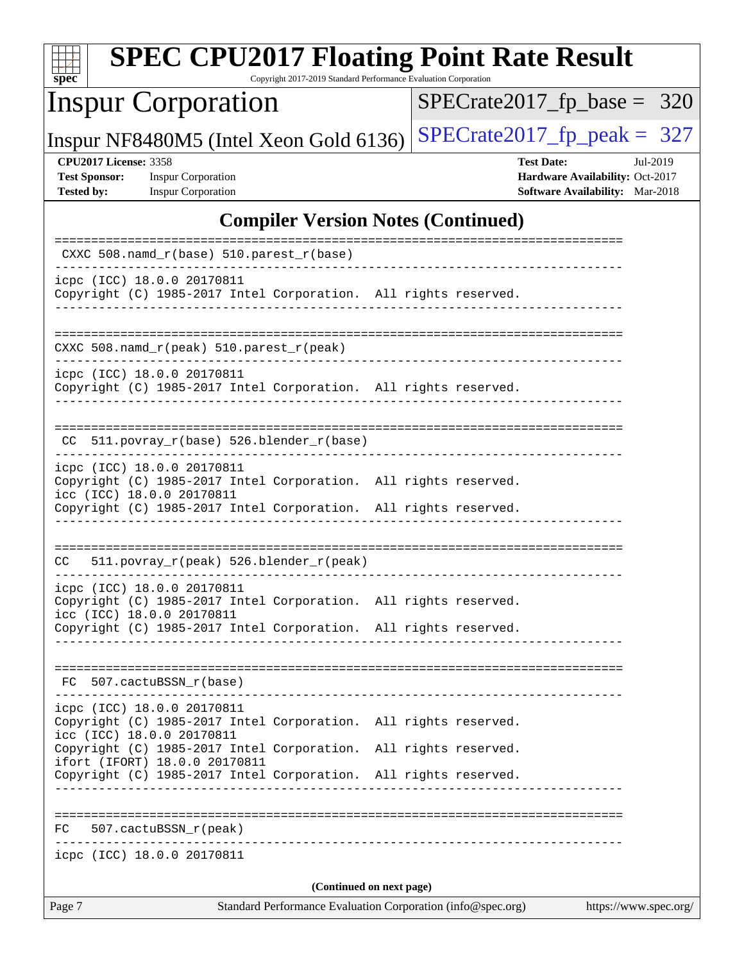| <b>SPEC CPU2017 Floating Point Rate Result</b><br>Copyright 2017-2019 Standard Performance Evaluation Corporation<br>spec <sup>®</sup>                                                        |                                                                                                     |
|-----------------------------------------------------------------------------------------------------------------------------------------------------------------------------------------------|-----------------------------------------------------------------------------------------------------|
| <b>Inspur Corporation</b>                                                                                                                                                                     | $SPECrate2017_fp\_base = 320$                                                                       |
| Inspur NF8480M5 (Intel Xeon Gold 6136)                                                                                                                                                        | $SPECTate2017$ _fp_peak = 327                                                                       |
| <b>CPU2017 License: 3358</b><br><b>Test Sponsor:</b><br><b>Inspur Corporation</b><br><b>Inspur Corporation</b><br><b>Tested by:</b>                                                           | <b>Test Date:</b><br>Jul-2019<br>Hardware Availability: Oct-2017<br>Software Availability: Mar-2018 |
| <b>Compiler Version Notes (Continued)</b>                                                                                                                                                     |                                                                                                     |
| CXXC 508.namd_r(base) 510.parest_r(base)                                                                                                                                                      |                                                                                                     |
| icpc (ICC) 18.0.0 20170811<br>Copyright (C) 1985-2017 Intel Corporation. All rights reserved.                                                                                                 |                                                                                                     |
| $CXXC 508.namd_r (peak) 510.parest_r (peak)$                                                                                                                                                  |                                                                                                     |
| icpc (ICC) 18.0.0 20170811<br>Copyright (C) 1985-2017 Intel Corporation. All rights reserved.                                                                                                 |                                                                                                     |
| CC 511.povray_r(base) 526.blender_r(base)                                                                                                                                                     |                                                                                                     |
| icpc (ICC) 18.0.0 20170811<br>Copyright (C) 1985-2017 Intel Corporation. All rights reserved.<br>icc (ICC) 18.0.0 20170811<br>Copyright (C) 1985-2017 Intel Corporation. All rights reserved. |                                                                                                     |
|                                                                                                                                                                                               |                                                                                                     |
| 511.povray_r(peak) 526.blender_r(peak)<br>CC                                                                                                                                                  |                                                                                                     |
| icpc (ICC) 18.0.0 20170811<br>Copyright (C) 1985-2017 Intel Corporation. All rights reserved.<br>icc (ICC) 18.0.0 20170811                                                                    |                                                                                                     |
| Copyright (C) 1985-2017 Intel Corporation. All rights reserved.                                                                                                                               |                                                                                                     |
| FC 507.cactuBSSN r(base)                                                                                                                                                                      |                                                                                                     |
| icpc (ICC) 18.0.0 20170811<br>Copyright (C) 1985-2017 Intel Corporation. All rights reserved.<br>icc (ICC) 18.0.0 20170811                                                                    |                                                                                                     |
| Copyright (C) 1985-2017 Intel Corporation. All rights reserved.<br>ifort (IFORT) 18.0.0 20170811                                                                                              |                                                                                                     |
| Copyright (C) 1985-2017 Intel Corporation. All rights reserved.                                                                                                                               |                                                                                                     |
| $FC$ 507. cactuBSSN $r$ (peak)                                                                                                                                                                |                                                                                                     |
| icpc (ICC) 18.0.0 20170811                                                                                                                                                                    |                                                                                                     |
| (Continued on next page)                                                                                                                                                                      |                                                                                                     |
| Page 7<br>Standard Performance Evaluation Corporation (info@spec.org)                                                                                                                         | https://www.spec.org/                                                                               |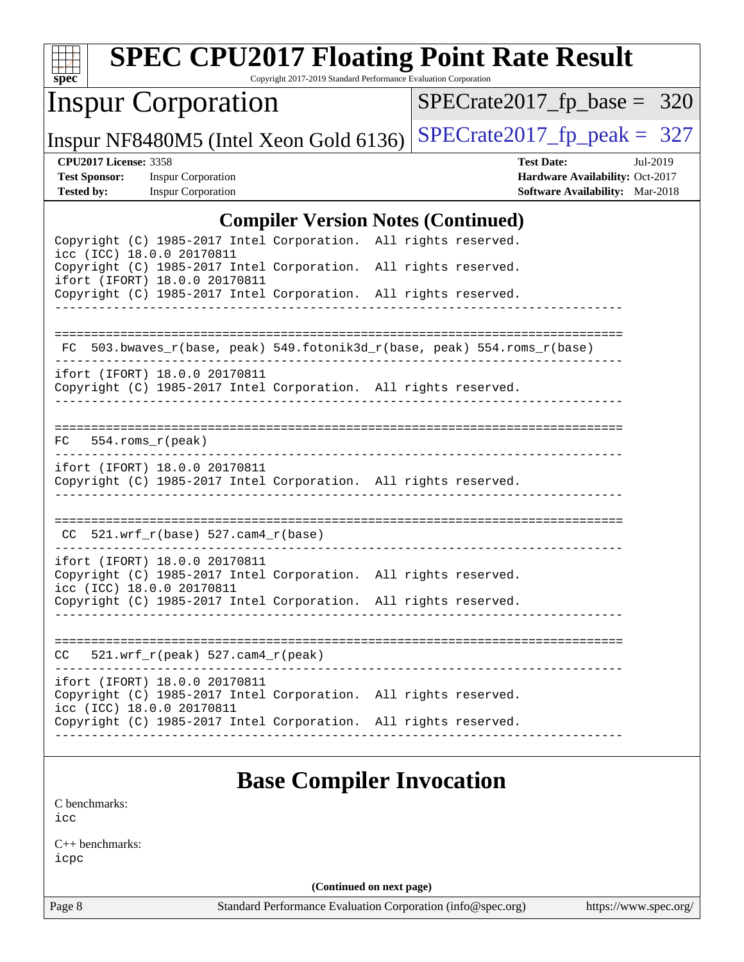| $spec^*$                                                                  | <b>SPEC CPU2017 Floating Point Rate Result</b>                                                                                | Copyright 2017-2019 Standard Performance Evaluation Corporation |  |                               |                                                                           |          |
|---------------------------------------------------------------------------|-------------------------------------------------------------------------------------------------------------------------------|-----------------------------------------------------------------|--|-------------------------------|---------------------------------------------------------------------------|----------|
|                                                                           | <b>Inspur Corporation</b>                                                                                                     |                                                                 |  | $SPECrate2017_fp\_base = 320$ |                                                                           |          |
|                                                                           | Inspur NF8480M5 (Intel Xeon Gold 6136)                                                                                        |                                                                 |  | $SPECrate2017_fp\_peak = 327$ |                                                                           |          |
| <b>CPU2017 License: 3358</b><br><b>Test Sponsor:</b><br><b>Tested by:</b> | <b>Inspur Corporation</b><br><b>Inspur Corporation</b>                                                                        |                                                                 |  | <b>Test Date:</b>             | Hardware Availability: Oct-2017<br><b>Software Availability:</b> Mar-2018 | Jul-2019 |
|                                                                           |                                                                                                                               | <b>Compiler Version Notes (Continued)</b>                       |  |                               |                                                                           |          |
|                                                                           | Copyright (C) 1985-2017 Intel Corporation. All rights reserved.                                                               |                                                                 |  |                               |                                                                           |          |
|                                                                           | icc (ICC) 18.0.0 20170811<br>Copyright (C) 1985-2017 Intel Corporation. All rights reserved.<br>ifort (IFORT) 18.0.0 20170811 |                                                                 |  |                               |                                                                           |          |
|                                                                           | Copyright (C) 1985-2017 Intel Corporation. All rights reserved.                                                               |                                                                 |  |                               |                                                                           |          |
|                                                                           | FC 503.bwaves_r(base, peak) 549.fotonik3d_r(base, peak) 554.roms_r(base)                                                      |                                                                 |  |                               |                                                                           |          |
|                                                                           | ifort (IFORT) 18.0.0 20170811<br>Copyright (C) 1985-2017 Intel Corporation. All rights reserved.                              |                                                                 |  |                               |                                                                           |          |
| FC.                                                                       | 554.roms_r(peak)                                                                                                              |                                                                 |  |                               |                                                                           |          |
|                                                                           | ifort (IFORT) 18.0.0 20170811<br>Copyright (C) 1985-2017 Intel Corporation. All rights reserved.                              |                                                                 |  |                               |                                                                           |          |
|                                                                           | $CC$ 521.wrf_r(base) 527.cam4_r(base)                                                                                         |                                                                 |  |                               |                                                                           |          |
|                                                                           | ifort (IFORT) 18.0.0 20170811<br>Copyright (C) 1985-2017 Intel Corporation. All rights reserved.                              |                                                                 |  |                               |                                                                           |          |
|                                                                           | icc (ICC) 18.0.0 20170811<br>Copyright (C) 1985-2017 Intel Corporation. All rights reserved.                                  |                                                                 |  |                               |                                                                           |          |
| CC.                                                                       | $521.wrf_r(peak) 527.cam4_r(peak)$                                                                                            |                                                                 |  |                               |                                                                           |          |
|                                                                           | ifort (IFORT) 18.0.0 20170811<br>Copyright (C) 1985-2017 Intel Corporation. All rights reserved.                              |                                                                 |  |                               |                                                                           |          |
|                                                                           | icc (ICC) 18.0.0 20170811<br>Copyright (C) 1985-2017 Intel Corporation. All rights reserved.                                  |                                                                 |  |                               |                                                                           |          |
| C benchmarks:<br>icc                                                      |                                                                                                                               | <b>Base Compiler Invocation</b>                                 |  |                               |                                                                           |          |
| $C_{++}$ benchmarks:<br>icpc                                              |                                                                                                                               |                                                                 |  |                               |                                                                           |          |
|                                                                           |                                                                                                                               | (Continued on next page)                                        |  |                               |                                                                           |          |

Page 8 Standard Performance Evaluation Corporation [\(info@spec.org\)](mailto:info@spec.org) <https://www.spec.org/>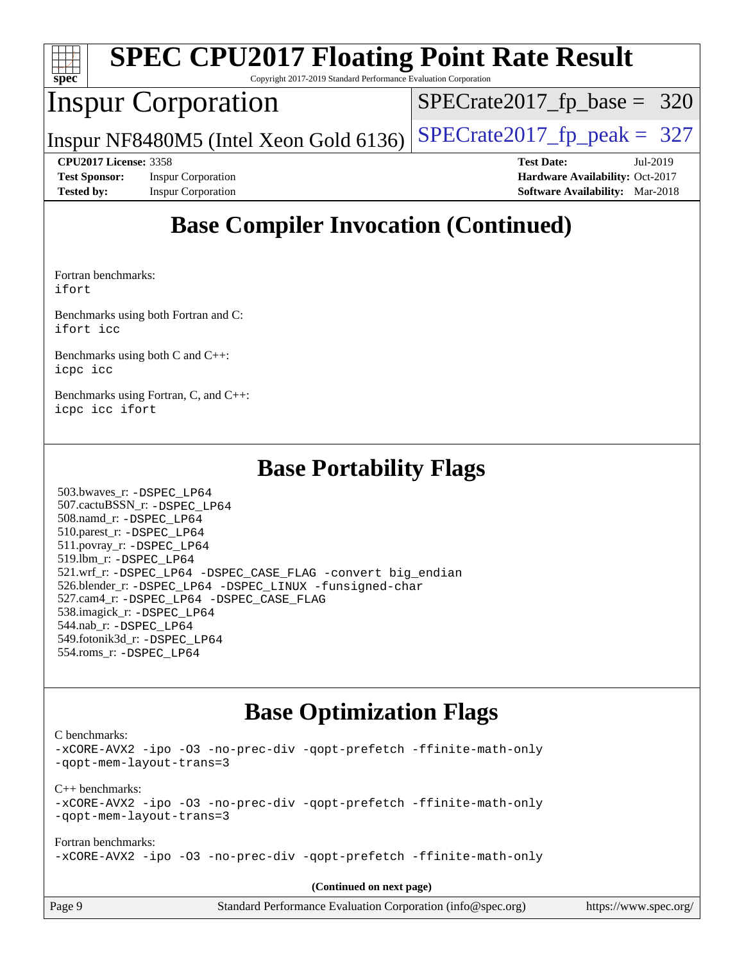| Copyright 2017-2019 Standard Performance Evaluation Corporation<br>$Spec^*$ | <b>SPEC CPU2017 Floating Point Rate Result</b> |
|-----------------------------------------------------------------------------|------------------------------------------------|
| <b>Inspur Corporation</b>                                                   | $SPECrate2017_fp\_base = 320$                  |
| Inspur NF8480M5 (Intel Xeon Gold 6136)                                      | $SPECTate2017_fp\_peak = 327$                  |
| <b>CPU2017 License: 3358</b>                                                | <b>Test Date:</b><br>Jul-2019                  |
| <b>Test Sponsor:</b><br><b>Inspur Corporation</b>                           | Hardware Availability: Oct-2017                |
| <b>Inspur Corporation</b><br><b>Tested by:</b>                              | <b>Software Availability:</b> Mar-2018         |

# **[Base Compiler Invocation \(Continued\)](http://www.spec.org/auto/cpu2017/Docs/result-fields.html#BaseCompilerInvocation)**

[Fortran benchmarks](http://www.spec.org/auto/cpu2017/Docs/result-fields.html#Fortranbenchmarks): [ifort](http://www.spec.org/cpu2017/results/res2019q3/cpu2017-20190725-16425.flags.html#user_FCbase_intel_ifort_18.0_8111460550e3ca792625aed983ce982f94888b8b503583aa7ba2b8303487b4d8a21a13e7191a45c5fd58ff318f48f9492884d4413fa793fd88dd292cad7027ca)

[Benchmarks using both Fortran and C](http://www.spec.org/auto/cpu2017/Docs/result-fields.html#BenchmarksusingbothFortranandC): [ifort](http://www.spec.org/cpu2017/results/res2019q3/cpu2017-20190725-16425.flags.html#user_CC_FCbase_intel_ifort_18.0_8111460550e3ca792625aed983ce982f94888b8b503583aa7ba2b8303487b4d8a21a13e7191a45c5fd58ff318f48f9492884d4413fa793fd88dd292cad7027ca) [icc](http://www.spec.org/cpu2017/results/res2019q3/cpu2017-20190725-16425.flags.html#user_CC_FCbase_intel_icc_18.0_66fc1ee009f7361af1fbd72ca7dcefbb700085f36577c54f309893dd4ec40d12360134090235512931783d35fd58c0460139e722d5067c5574d8eaf2b3e37e92)

[Benchmarks using both C and C++](http://www.spec.org/auto/cpu2017/Docs/result-fields.html#BenchmarksusingbothCandCXX): [icpc](http://www.spec.org/cpu2017/results/res2019q3/cpu2017-20190725-16425.flags.html#user_CC_CXXbase_intel_icpc_18.0_c510b6838c7f56d33e37e94d029a35b4a7bccf4766a728ee175e80a419847e808290a9b78be685c44ab727ea267ec2f070ec5dc83b407c0218cded6866a35d07) [icc](http://www.spec.org/cpu2017/results/res2019q3/cpu2017-20190725-16425.flags.html#user_CC_CXXbase_intel_icc_18.0_66fc1ee009f7361af1fbd72ca7dcefbb700085f36577c54f309893dd4ec40d12360134090235512931783d35fd58c0460139e722d5067c5574d8eaf2b3e37e92)

[Benchmarks using Fortran, C, and C++:](http://www.spec.org/auto/cpu2017/Docs/result-fields.html#BenchmarksusingFortranCandCXX) [icpc](http://www.spec.org/cpu2017/results/res2019q3/cpu2017-20190725-16425.flags.html#user_CC_CXX_FCbase_intel_icpc_18.0_c510b6838c7f56d33e37e94d029a35b4a7bccf4766a728ee175e80a419847e808290a9b78be685c44ab727ea267ec2f070ec5dc83b407c0218cded6866a35d07) [icc](http://www.spec.org/cpu2017/results/res2019q3/cpu2017-20190725-16425.flags.html#user_CC_CXX_FCbase_intel_icc_18.0_66fc1ee009f7361af1fbd72ca7dcefbb700085f36577c54f309893dd4ec40d12360134090235512931783d35fd58c0460139e722d5067c5574d8eaf2b3e37e92) [ifort](http://www.spec.org/cpu2017/results/res2019q3/cpu2017-20190725-16425.flags.html#user_CC_CXX_FCbase_intel_ifort_18.0_8111460550e3ca792625aed983ce982f94888b8b503583aa7ba2b8303487b4d8a21a13e7191a45c5fd58ff318f48f9492884d4413fa793fd88dd292cad7027ca)

### **[Base Portability Flags](http://www.spec.org/auto/cpu2017/Docs/result-fields.html#BasePortabilityFlags)**

 503.bwaves\_r: [-DSPEC\\_LP64](http://www.spec.org/cpu2017/results/res2019q3/cpu2017-20190725-16425.flags.html#suite_basePORTABILITY503_bwaves_r_DSPEC_LP64) 507.cactuBSSN\_r: [-DSPEC\\_LP64](http://www.spec.org/cpu2017/results/res2019q3/cpu2017-20190725-16425.flags.html#suite_basePORTABILITY507_cactuBSSN_r_DSPEC_LP64) 508.namd\_r: [-DSPEC\\_LP64](http://www.spec.org/cpu2017/results/res2019q3/cpu2017-20190725-16425.flags.html#suite_basePORTABILITY508_namd_r_DSPEC_LP64) 510.parest\_r: [-DSPEC\\_LP64](http://www.spec.org/cpu2017/results/res2019q3/cpu2017-20190725-16425.flags.html#suite_basePORTABILITY510_parest_r_DSPEC_LP64) 511.povray\_r: [-DSPEC\\_LP64](http://www.spec.org/cpu2017/results/res2019q3/cpu2017-20190725-16425.flags.html#suite_basePORTABILITY511_povray_r_DSPEC_LP64) 519.lbm\_r: [-DSPEC\\_LP64](http://www.spec.org/cpu2017/results/res2019q3/cpu2017-20190725-16425.flags.html#suite_basePORTABILITY519_lbm_r_DSPEC_LP64) 521.wrf\_r: [-DSPEC\\_LP64](http://www.spec.org/cpu2017/results/res2019q3/cpu2017-20190725-16425.flags.html#suite_basePORTABILITY521_wrf_r_DSPEC_LP64) [-DSPEC\\_CASE\\_FLAG](http://www.spec.org/cpu2017/results/res2019q3/cpu2017-20190725-16425.flags.html#b521.wrf_r_baseCPORTABILITY_DSPEC_CASE_FLAG) [-convert big\\_endian](http://www.spec.org/cpu2017/results/res2019q3/cpu2017-20190725-16425.flags.html#user_baseFPORTABILITY521_wrf_r_convert_big_endian_c3194028bc08c63ac5d04de18c48ce6d347e4e562e8892b8bdbdc0214820426deb8554edfa529a3fb25a586e65a3d812c835984020483e7e73212c4d31a38223) 526.blender\_r: [-DSPEC\\_LP64](http://www.spec.org/cpu2017/results/res2019q3/cpu2017-20190725-16425.flags.html#suite_basePORTABILITY526_blender_r_DSPEC_LP64) [-DSPEC\\_LINUX](http://www.spec.org/cpu2017/results/res2019q3/cpu2017-20190725-16425.flags.html#b526.blender_r_baseCPORTABILITY_DSPEC_LINUX) [-funsigned-char](http://www.spec.org/cpu2017/results/res2019q3/cpu2017-20190725-16425.flags.html#user_baseCPORTABILITY526_blender_r_force_uchar_40c60f00ab013830e2dd6774aeded3ff59883ba5a1fc5fc14077f794d777847726e2a5858cbc7672e36e1b067e7e5c1d9a74f7176df07886a243d7cc18edfe67) 527.cam4\_r: [-DSPEC\\_LP64](http://www.spec.org/cpu2017/results/res2019q3/cpu2017-20190725-16425.flags.html#suite_basePORTABILITY527_cam4_r_DSPEC_LP64) [-DSPEC\\_CASE\\_FLAG](http://www.spec.org/cpu2017/results/res2019q3/cpu2017-20190725-16425.flags.html#b527.cam4_r_baseCPORTABILITY_DSPEC_CASE_FLAG) 538.imagick\_r: [-DSPEC\\_LP64](http://www.spec.org/cpu2017/results/res2019q3/cpu2017-20190725-16425.flags.html#suite_basePORTABILITY538_imagick_r_DSPEC_LP64) 544.nab\_r: [-DSPEC\\_LP64](http://www.spec.org/cpu2017/results/res2019q3/cpu2017-20190725-16425.flags.html#suite_basePORTABILITY544_nab_r_DSPEC_LP64) 549.fotonik3d\_r: [-DSPEC\\_LP64](http://www.spec.org/cpu2017/results/res2019q3/cpu2017-20190725-16425.flags.html#suite_basePORTABILITY549_fotonik3d_r_DSPEC_LP64) 554.roms\_r: [-DSPEC\\_LP64](http://www.spec.org/cpu2017/results/res2019q3/cpu2017-20190725-16425.flags.html#suite_basePORTABILITY554_roms_r_DSPEC_LP64)

# **[Base Optimization Flags](http://www.spec.org/auto/cpu2017/Docs/result-fields.html#BaseOptimizationFlags)**

[C benchmarks](http://www.spec.org/auto/cpu2017/Docs/result-fields.html#Cbenchmarks):

[-xCORE-AVX2](http://www.spec.org/cpu2017/results/res2019q3/cpu2017-20190725-16425.flags.html#user_CCbase_f-xCORE-AVX2) [-ipo](http://www.spec.org/cpu2017/results/res2019q3/cpu2017-20190725-16425.flags.html#user_CCbase_f-ipo) [-O3](http://www.spec.org/cpu2017/results/res2019q3/cpu2017-20190725-16425.flags.html#user_CCbase_f-O3) [-no-prec-div](http://www.spec.org/cpu2017/results/res2019q3/cpu2017-20190725-16425.flags.html#user_CCbase_f-no-prec-div) [-qopt-prefetch](http://www.spec.org/cpu2017/results/res2019q3/cpu2017-20190725-16425.flags.html#user_CCbase_f-qopt-prefetch) [-ffinite-math-only](http://www.spec.org/cpu2017/results/res2019q3/cpu2017-20190725-16425.flags.html#user_CCbase_f_finite_math_only_cb91587bd2077682c4b38af759c288ed7c732db004271a9512da14a4f8007909a5f1427ecbf1a0fb78ff2a814402c6114ac565ca162485bbcae155b5e4258871) [-qopt-mem-layout-trans=3](http://www.spec.org/cpu2017/results/res2019q3/cpu2017-20190725-16425.flags.html#user_CCbase_f-qopt-mem-layout-trans_de80db37974c74b1f0e20d883f0b675c88c3b01e9d123adea9b28688d64333345fb62bc4a798493513fdb68f60282f9a726aa07f478b2f7113531aecce732043) [C++ benchmarks:](http://www.spec.org/auto/cpu2017/Docs/result-fields.html#CXXbenchmarks) [-xCORE-AVX2](http://www.spec.org/cpu2017/results/res2019q3/cpu2017-20190725-16425.flags.html#user_CXXbase_f-xCORE-AVX2) [-ipo](http://www.spec.org/cpu2017/results/res2019q3/cpu2017-20190725-16425.flags.html#user_CXXbase_f-ipo) [-O3](http://www.spec.org/cpu2017/results/res2019q3/cpu2017-20190725-16425.flags.html#user_CXXbase_f-O3) [-no-prec-div](http://www.spec.org/cpu2017/results/res2019q3/cpu2017-20190725-16425.flags.html#user_CXXbase_f-no-prec-div) [-qopt-prefetch](http://www.spec.org/cpu2017/results/res2019q3/cpu2017-20190725-16425.flags.html#user_CXXbase_f-qopt-prefetch) [-ffinite-math-only](http://www.spec.org/cpu2017/results/res2019q3/cpu2017-20190725-16425.flags.html#user_CXXbase_f_finite_math_only_cb91587bd2077682c4b38af759c288ed7c732db004271a9512da14a4f8007909a5f1427ecbf1a0fb78ff2a814402c6114ac565ca162485bbcae155b5e4258871) [-qopt-mem-layout-trans=3](http://www.spec.org/cpu2017/results/res2019q3/cpu2017-20190725-16425.flags.html#user_CXXbase_f-qopt-mem-layout-trans_de80db37974c74b1f0e20d883f0b675c88c3b01e9d123adea9b28688d64333345fb62bc4a798493513fdb68f60282f9a726aa07f478b2f7113531aecce732043) [Fortran benchmarks](http://www.spec.org/auto/cpu2017/Docs/result-fields.html#Fortranbenchmarks): [-xCORE-AVX2](http://www.spec.org/cpu2017/results/res2019q3/cpu2017-20190725-16425.flags.html#user_FCbase_f-xCORE-AVX2) [-ipo](http://www.spec.org/cpu2017/results/res2019q3/cpu2017-20190725-16425.flags.html#user_FCbase_f-ipo) [-O3](http://www.spec.org/cpu2017/results/res2019q3/cpu2017-20190725-16425.flags.html#user_FCbase_f-O3) [-no-prec-div](http://www.spec.org/cpu2017/results/res2019q3/cpu2017-20190725-16425.flags.html#user_FCbase_f-no-prec-div) [-qopt-prefetch](http://www.spec.org/cpu2017/results/res2019q3/cpu2017-20190725-16425.flags.html#user_FCbase_f-qopt-prefetch) [-ffinite-math-only](http://www.spec.org/cpu2017/results/res2019q3/cpu2017-20190725-16425.flags.html#user_FCbase_f_finite_math_only_cb91587bd2077682c4b38af759c288ed7c732db004271a9512da14a4f8007909a5f1427ecbf1a0fb78ff2a814402c6114ac565ca162485bbcae155b5e4258871)

**(Continued on next page)**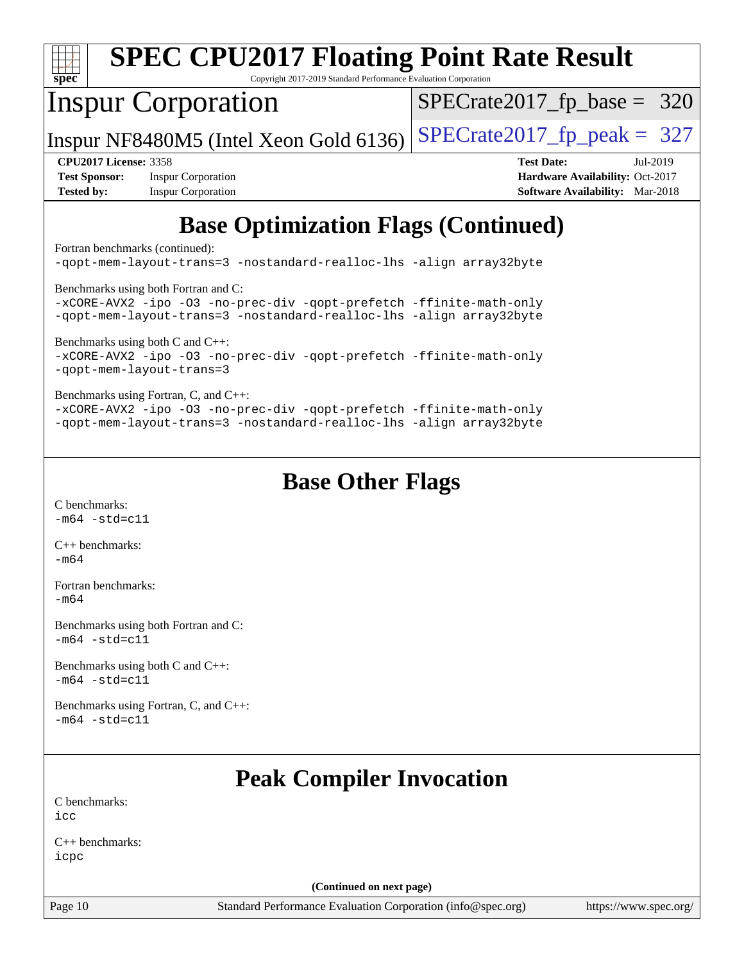| $spec^*$                        | <b>SPEC CPU2017 Floating Point Rate Result</b><br>Copyright 2017-2019 Standard Performance Evaluation Corporation                                                                  |                                        |  |  |  |  |  |
|---------------------------------|------------------------------------------------------------------------------------------------------------------------------------------------------------------------------------|----------------------------------------|--|--|--|--|--|
|                                 | <b>Inspur Corporation</b>                                                                                                                                                          | $SPECTate2017$ _fp_base = 320          |  |  |  |  |  |
|                                 | Inspur NF8480M5 (Intel Xeon Gold 6136)                                                                                                                                             | $SPECrate2017fp peak = 327$            |  |  |  |  |  |
| <b>CPU2017 License: 3358</b>    |                                                                                                                                                                                    | <b>Test Date:</b><br>Jul-2019          |  |  |  |  |  |
| <b>Test Sponsor:</b>            | <b>Inspur Corporation</b>                                                                                                                                                          | Hardware Availability: Oct-2017        |  |  |  |  |  |
| <b>Tested by:</b>               | <b>Inspur Corporation</b>                                                                                                                                                          | <b>Software Availability:</b> Mar-2018 |  |  |  |  |  |
| Fortran benchmarks (continued): | <b>Base Optimization Flags (Continued)</b><br>-qopt-mem-layout-trans=3 -nostandard-realloc-lhs -align array32byte                                                                  |                                        |  |  |  |  |  |
|                                 | Benchmarks using both Fortran and C:<br>-xCORE-AVX2 -ipo -03 -no-prec-div -qopt-prefetch -ffinite-math-only<br>-qopt-mem-layout-trans=3 -nostandard-realloc-lhs -align array32byte |                                        |  |  |  |  |  |
|                                 | Benchmarks using both C and C++:<br>-xCORE-AVX2 -ipo -03 -no-prec-div -qopt-prefetch -ffinite-math-only<br>-gopt-mem-layout-trans=3                                                |                                        |  |  |  |  |  |
|                                 | Benchmarks using Fortran, C, and C++:                                                                                                                                              |                                        |  |  |  |  |  |

[-xCORE-AVX2](http://www.spec.org/cpu2017/results/res2019q3/cpu2017-20190725-16425.flags.html#user_CC_CXX_FCbase_f-xCORE-AVX2) [-ipo](http://www.spec.org/cpu2017/results/res2019q3/cpu2017-20190725-16425.flags.html#user_CC_CXX_FCbase_f-ipo) [-O3](http://www.spec.org/cpu2017/results/res2019q3/cpu2017-20190725-16425.flags.html#user_CC_CXX_FCbase_f-O3) [-no-prec-div](http://www.spec.org/cpu2017/results/res2019q3/cpu2017-20190725-16425.flags.html#user_CC_CXX_FCbase_f-no-prec-div) [-qopt-prefetch](http://www.spec.org/cpu2017/results/res2019q3/cpu2017-20190725-16425.flags.html#user_CC_CXX_FCbase_f-qopt-prefetch) [-ffinite-math-only](http://www.spec.org/cpu2017/results/res2019q3/cpu2017-20190725-16425.flags.html#user_CC_CXX_FCbase_f_finite_math_only_cb91587bd2077682c4b38af759c288ed7c732db004271a9512da14a4f8007909a5f1427ecbf1a0fb78ff2a814402c6114ac565ca162485bbcae155b5e4258871) [-qopt-mem-layout-trans=3](http://www.spec.org/cpu2017/results/res2019q3/cpu2017-20190725-16425.flags.html#user_CC_CXX_FCbase_f-qopt-mem-layout-trans_de80db37974c74b1f0e20d883f0b675c88c3b01e9d123adea9b28688d64333345fb62bc4a798493513fdb68f60282f9a726aa07f478b2f7113531aecce732043) [-nostandard-realloc-lhs](http://www.spec.org/cpu2017/results/res2019q3/cpu2017-20190725-16425.flags.html#user_CC_CXX_FCbase_f_2003_std_realloc_82b4557e90729c0f113870c07e44d33d6f5a304b4f63d4c15d2d0f1fab99f5daaed73bdb9275d9ae411527f28b936061aa8b9c8f2d63842963b95c9dd6426b8a) [-align array32byte](http://www.spec.org/cpu2017/results/res2019q3/cpu2017-20190725-16425.flags.html#user_CC_CXX_FCbase_align_array32byte_b982fe038af199962ba9a80c053b8342c548c85b40b8e86eb3cc33dee0d7986a4af373ac2d51c3f7cf710a18d62fdce2948f201cd044323541f22fc0fffc51b6)

### **[Base Other Flags](http://www.spec.org/auto/cpu2017/Docs/result-fields.html#BaseOtherFlags)**

[C benchmarks](http://www.spec.org/auto/cpu2017/Docs/result-fields.html#Cbenchmarks):  $-m64 - std = c11$  $-m64 - std = c11$ 

[C++ benchmarks:](http://www.spec.org/auto/cpu2017/Docs/result-fields.html#CXXbenchmarks) [-m64](http://www.spec.org/cpu2017/results/res2019q3/cpu2017-20190725-16425.flags.html#user_CXXbase_intel_intel64_18.0_af43caccfc8ded86e7699f2159af6efc7655f51387b94da716254467f3c01020a5059329e2569e4053f409e7c9202a7efc638f7a6d1ffb3f52dea4a3e31d82ab)

[Fortran benchmarks](http://www.spec.org/auto/cpu2017/Docs/result-fields.html#Fortranbenchmarks): [-m64](http://www.spec.org/cpu2017/results/res2019q3/cpu2017-20190725-16425.flags.html#user_FCbase_intel_intel64_18.0_af43caccfc8ded86e7699f2159af6efc7655f51387b94da716254467f3c01020a5059329e2569e4053f409e7c9202a7efc638f7a6d1ffb3f52dea4a3e31d82ab)

[Benchmarks using both Fortran and C](http://www.spec.org/auto/cpu2017/Docs/result-fields.html#BenchmarksusingbothFortranandC):  $-m64 - std= c11$  $-m64 - std= c11$ 

[Benchmarks using both C and C++](http://www.spec.org/auto/cpu2017/Docs/result-fields.html#BenchmarksusingbothCandCXX): [-m64](http://www.spec.org/cpu2017/results/res2019q3/cpu2017-20190725-16425.flags.html#user_CC_CXXbase_intel_intel64_18.0_af43caccfc8ded86e7699f2159af6efc7655f51387b94da716254467f3c01020a5059329e2569e4053f409e7c9202a7efc638f7a6d1ffb3f52dea4a3e31d82ab) [-std=c11](http://www.spec.org/cpu2017/results/res2019q3/cpu2017-20190725-16425.flags.html#user_CC_CXXbase_intel_compiler_c11_mode_0e1c27790398a4642dfca32ffe6c27b5796f9c2d2676156f2e42c9c44eaad0c049b1cdb667a270c34d979996257aeb8fc440bfb01818dbc9357bd9d174cb8524)

[Benchmarks using Fortran, C, and C++:](http://www.spec.org/auto/cpu2017/Docs/result-fields.html#BenchmarksusingFortranCandCXX)  $-m64 - std= c11$  $-m64 - std= c11$ 

# **[Peak Compiler Invocation](http://www.spec.org/auto/cpu2017/Docs/result-fields.html#PeakCompilerInvocation)**

[C benchmarks](http://www.spec.org/auto/cpu2017/Docs/result-fields.html#Cbenchmarks): [icc](http://www.spec.org/cpu2017/results/res2019q3/cpu2017-20190725-16425.flags.html#user_CCpeak_intel_icc_18.0_66fc1ee009f7361af1fbd72ca7dcefbb700085f36577c54f309893dd4ec40d12360134090235512931783d35fd58c0460139e722d5067c5574d8eaf2b3e37e92)

[C++ benchmarks:](http://www.spec.org/auto/cpu2017/Docs/result-fields.html#CXXbenchmarks) [icpc](http://www.spec.org/cpu2017/results/res2019q3/cpu2017-20190725-16425.flags.html#user_CXXpeak_intel_icpc_18.0_c510b6838c7f56d33e37e94d029a35b4a7bccf4766a728ee175e80a419847e808290a9b78be685c44ab727ea267ec2f070ec5dc83b407c0218cded6866a35d07)

**(Continued on next page)**

Page 10 Standard Performance Evaluation Corporation [\(info@spec.org\)](mailto:info@spec.org) <https://www.spec.org/>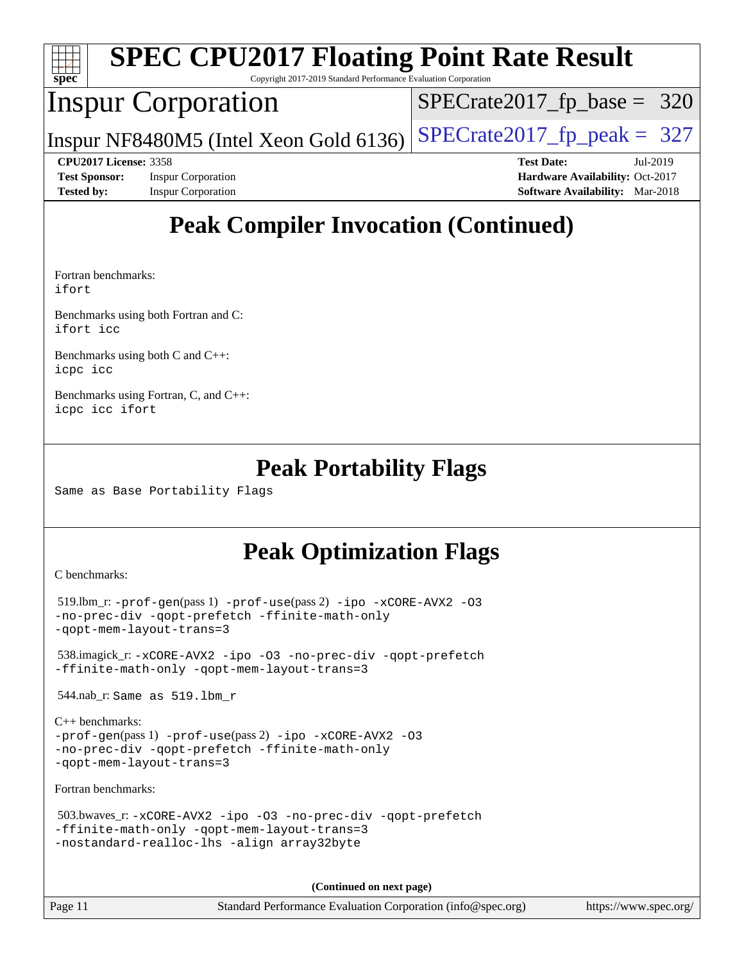| spec <sup>®</sup> |                              | <b>SPEC CPU2017 Floating Point Rate Result</b><br>Copyright 2017-2019 Standard Performance Evaluation Corporation |                               |                   |                                        |          |
|-------------------|------------------------------|-------------------------------------------------------------------------------------------------------------------|-------------------------------|-------------------|----------------------------------------|----------|
|                   |                              | <b>Inspur Corporation</b>                                                                                         | $SPECrate2017_fp\_base = 320$ |                   |                                        |          |
|                   |                              | Inspur NF8480M5 (Intel Xeon Gold 6136)                                                                            | $SPECrate2017_fp\_peak = 327$ |                   |                                        |          |
|                   | <b>CPU2017 License: 3358</b> |                                                                                                                   |                               | <b>Test Date:</b> |                                        | Jul-2019 |
|                   | <b>Test Sponsor:</b>         | <b>Inspur Corporation</b>                                                                                         |                               |                   | Hardware Availability: Oct-2017        |          |
| <b>Tested by:</b> |                              | <b>Inspur Corporation</b>                                                                                         |                               |                   | <b>Software Availability:</b> Mar-2018 |          |
|                   |                              |                                                                                                                   |                               |                   |                                        |          |

# **[Peak Compiler Invocation \(Continued\)](http://www.spec.org/auto/cpu2017/Docs/result-fields.html#PeakCompilerInvocation)**

[Fortran benchmarks](http://www.spec.org/auto/cpu2017/Docs/result-fields.html#Fortranbenchmarks): [ifort](http://www.spec.org/cpu2017/results/res2019q3/cpu2017-20190725-16425.flags.html#user_FCpeak_intel_ifort_18.0_8111460550e3ca792625aed983ce982f94888b8b503583aa7ba2b8303487b4d8a21a13e7191a45c5fd58ff318f48f9492884d4413fa793fd88dd292cad7027ca)

[Benchmarks using both Fortran and C](http://www.spec.org/auto/cpu2017/Docs/result-fields.html#BenchmarksusingbothFortranandC): [ifort](http://www.spec.org/cpu2017/results/res2019q3/cpu2017-20190725-16425.flags.html#user_CC_FCpeak_intel_ifort_18.0_8111460550e3ca792625aed983ce982f94888b8b503583aa7ba2b8303487b4d8a21a13e7191a45c5fd58ff318f48f9492884d4413fa793fd88dd292cad7027ca) [icc](http://www.spec.org/cpu2017/results/res2019q3/cpu2017-20190725-16425.flags.html#user_CC_FCpeak_intel_icc_18.0_66fc1ee009f7361af1fbd72ca7dcefbb700085f36577c54f309893dd4ec40d12360134090235512931783d35fd58c0460139e722d5067c5574d8eaf2b3e37e92)

[Benchmarks using both C and C++](http://www.spec.org/auto/cpu2017/Docs/result-fields.html#BenchmarksusingbothCandCXX): [icpc](http://www.spec.org/cpu2017/results/res2019q3/cpu2017-20190725-16425.flags.html#user_CC_CXXpeak_intel_icpc_18.0_c510b6838c7f56d33e37e94d029a35b4a7bccf4766a728ee175e80a419847e808290a9b78be685c44ab727ea267ec2f070ec5dc83b407c0218cded6866a35d07) [icc](http://www.spec.org/cpu2017/results/res2019q3/cpu2017-20190725-16425.flags.html#user_CC_CXXpeak_intel_icc_18.0_66fc1ee009f7361af1fbd72ca7dcefbb700085f36577c54f309893dd4ec40d12360134090235512931783d35fd58c0460139e722d5067c5574d8eaf2b3e37e92)

[Benchmarks using Fortran, C, and C++:](http://www.spec.org/auto/cpu2017/Docs/result-fields.html#BenchmarksusingFortranCandCXX) [icpc](http://www.spec.org/cpu2017/results/res2019q3/cpu2017-20190725-16425.flags.html#user_CC_CXX_FCpeak_intel_icpc_18.0_c510b6838c7f56d33e37e94d029a35b4a7bccf4766a728ee175e80a419847e808290a9b78be685c44ab727ea267ec2f070ec5dc83b407c0218cded6866a35d07) [icc](http://www.spec.org/cpu2017/results/res2019q3/cpu2017-20190725-16425.flags.html#user_CC_CXX_FCpeak_intel_icc_18.0_66fc1ee009f7361af1fbd72ca7dcefbb700085f36577c54f309893dd4ec40d12360134090235512931783d35fd58c0460139e722d5067c5574d8eaf2b3e37e92) [ifort](http://www.spec.org/cpu2017/results/res2019q3/cpu2017-20190725-16425.flags.html#user_CC_CXX_FCpeak_intel_ifort_18.0_8111460550e3ca792625aed983ce982f94888b8b503583aa7ba2b8303487b4d8a21a13e7191a45c5fd58ff318f48f9492884d4413fa793fd88dd292cad7027ca)

### **[Peak Portability Flags](http://www.spec.org/auto/cpu2017/Docs/result-fields.html#PeakPortabilityFlags)**

Same as Base Portability Flags

# **[Peak Optimization Flags](http://www.spec.org/auto/cpu2017/Docs/result-fields.html#PeakOptimizationFlags)**

[C benchmarks](http://www.spec.org/auto/cpu2017/Docs/result-fields.html#Cbenchmarks):

```
 519.lbm_r: -prof-gen(pass 1) -prof-use(pass 2) -ipo -xCORE-AVX2 -O3
-no-prec-div -qopt-prefetch -ffinite-math-only
-qopt-mem-layout-trans=3
```
 538.imagick\_r: [-xCORE-AVX2](http://www.spec.org/cpu2017/results/res2019q3/cpu2017-20190725-16425.flags.html#user_peakCOPTIMIZE538_imagick_r_f-xCORE-AVX2) [-ipo](http://www.spec.org/cpu2017/results/res2019q3/cpu2017-20190725-16425.flags.html#user_peakCOPTIMIZE538_imagick_r_f-ipo) [-O3](http://www.spec.org/cpu2017/results/res2019q3/cpu2017-20190725-16425.flags.html#user_peakCOPTIMIZE538_imagick_r_f-O3) [-no-prec-div](http://www.spec.org/cpu2017/results/res2019q3/cpu2017-20190725-16425.flags.html#user_peakCOPTIMIZE538_imagick_r_f-no-prec-div) [-qopt-prefetch](http://www.spec.org/cpu2017/results/res2019q3/cpu2017-20190725-16425.flags.html#user_peakCOPTIMIZE538_imagick_r_f-qopt-prefetch) [-ffinite-math-only](http://www.spec.org/cpu2017/results/res2019q3/cpu2017-20190725-16425.flags.html#user_peakCOPTIMIZE538_imagick_r_f_finite_math_only_cb91587bd2077682c4b38af759c288ed7c732db004271a9512da14a4f8007909a5f1427ecbf1a0fb78ff2a814402c6114ac565ca162485bbcae155b5e4258871) [-qopt-mem-layout-trans=3](http://www.spec.org/cpu2017/results/res2019q3/cpu2017-20190725-16425.flags.html#user_peakCOPTIMIZE538_imagick_r_f-qopt-mem-layout-trans_de80db37974c74b1f0e20d883f0b675c88c3b01e9d123adea9b28688d64333345fb62bc4a798493513fdb68f60282f9a726aa07f478b2f7113531aecce732043)

544.nab\_r: Same as 519.lbm\_r

```
C++ benchmarks: 
-prof-gen(pass 1) -prof-use(pass 2) -ipo -xCORE-AVX2 -O3
-no-prec-div -qopt-prefetch -ffinite-math-only
-qopt-mem-layout-trans=3
```
[Fortran benchmarks](http://www.spec.org/auto/cpu2017/Docs/result-fields.html#Fortranbenchmarks):

```
 503.bwaves_r: -xCORE-AVX2 -ipo -O3 -no-prec-div -qopt-prefetch
-ffinite-math-only -qopt-mem-layout-trans=3
-nostandard-realloc-lhs -align array32byte
```
**(Continued on next page)**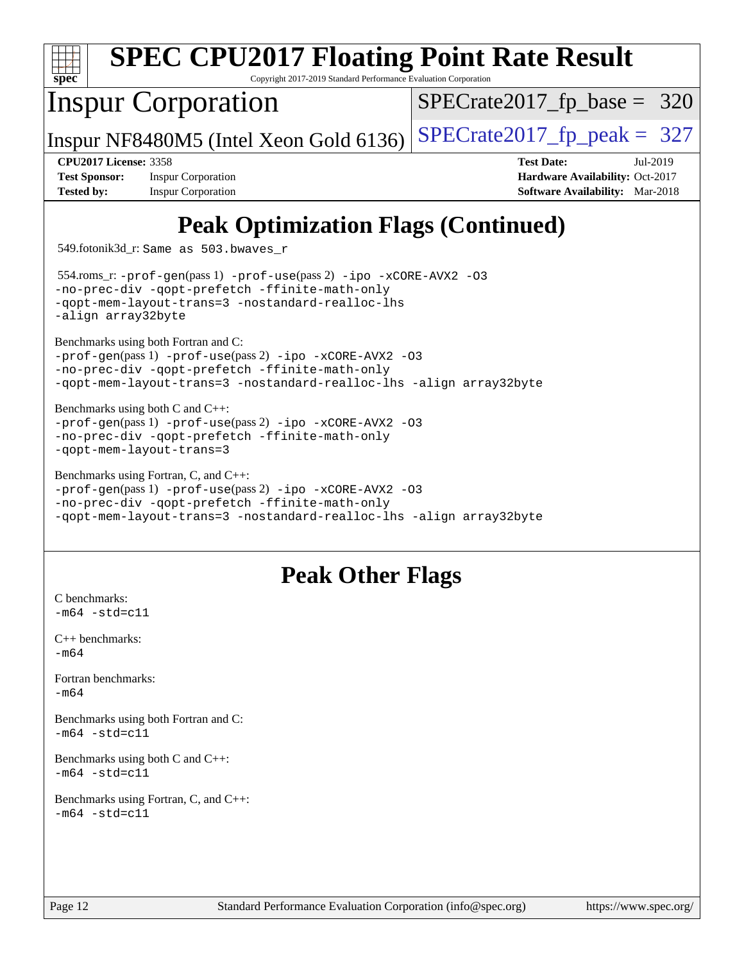|                              | <b>SPEC CPU2017 Floating Point Rate Result</b>                                                                            |                                        |          |
|------------------------------|---------------------------------------------------------------------------------------------------------------------------|----------------------------------------|----------|
| $spec^*$                     | Copyright 2017-2019 Standard Performance Evaluation Corporation                                                           |                                        |          |
|                              | <b>Inspur Corporation</b>                                                                                                 | $SPECTate2017$ _fp_base = 320          |          |
|                              | Inspur NF8480M5 (Intel Xeon Gold 6136)                                                                                    | $SPECTate2017$ _fp_peak = 327          |          |
| <b>CPU2017 License: 3358</b> |                                                                                                                           | <b>Test Date:</b>                      | Jul-2019 |
| <b>Test Sponsor:</b>         | <b>Inspur Corporation</b>                                                                                                 | Hardware Availability: Oct-2017        |          |
| <b>Tested by:</b>            | <b>Inspur Corporation</b>                                                                                                 | <b>Software Availability:</b> Mar-2018 |          |
|                              | <b>Peak Optimization Flags (Continued)</b><br>549.fotonik3d_r: Same as 503.bwaves_r                                       |                                        |          |
|                              | $554$ .roms_r: -prof-gen(pass 1) -prof-use(pass 2) -ipo -xCORE-AVX2 -03<br>-no-prec-div -qopt-prefetch -ffinite-math-only |                                        |          |

[-qopt-mem-layout-trans=3](http://www.spec.org/cpu2017/results/res2019q3/cpu2017-20190725-16425.flags.html#user_peakPASS1_FOPTIMIZEPASS2_FOPTIMIZE554_roms_r_f-qopt-mem-layout-trans_de80db37974c74b1f0e20d883f0b675c88c3b01e9d123adea9b28688d64333345fb62bc4a798493513fdb68f60282f9a726aa07f478b2f7113531aecce732043) [-nostandard-realloc-lhs](http://www.spec.org/cpu2017/results/res2019q3/cpu2017-20190725-16425.flags.html#user_peakEXTRA_FOPTIMIZE554_roms_r_f_2003_std_realloc_82b4557e90729c0f113870c07e44d33d6f5a304b4f63d4c15d2d0f1fab99f5daaed73bdb9275d9ae411527f28b936061aa8b9c8f2d63842963b95c9dd6426b8a)

[-prof-gen](http://www.spec.org/cpu2017/results/res2019q3/cpu2017-20190725-16425.flags.html#user_CC_FCpeak_prof_gen_5aa4926d6013ddb2a31985c654b3eb18169fc0c6952a63635c234f711e6e63dd76e94ad52365559451ec499a2cdb89e4dc58ba4c67ef54ca681ffbe1461d6b36)(pass 1) [-prof-use](http://www.spec.org/cpu2017/results/res2019q3/cpu2017-20190725-16425.flags.html#user_CC_FCpeak_prof_use_1a21ceae95f36a2b53c25747139a6c16ca95bd9def2a207b4f0849963b97e94f5260e30a0c64f4bb623698870e679ca08317ef8150905d41bd88c6f78df73f19)(pass 2) [-ipo](http://www.spec.org/cpu2017/results/res2019q3/cpu2017-20190725-16425.flags.html#user_CC_FCpeak_f-ipo) [-xCORE-AVX2](http://www.spec.org/cpu2017/results/res2019q3/cpu2017-20190725-16425.flags.html#user_CC_FCpeak_f-xCORE-AVX2) [-O3](http://www.spec.org/cpu2017/results/res2019q3/cpu2017-20190725-16425.flags.html#user_CC_FCpeak_f-O3) [-no-prec-div](http://www.spec.org/cpu2017/results/res2019q3/cpu2017-20190725-16425.flags.html#user_CC_FCpeak_f-no-prec-div) [-qopt-prefetch](http://www.spec.org/cpu2017/results/res2019q3/cpu2017-20190725-16425.flags.html#user_CC_FCpeak_f-qopt-prefetch) [-ffinite-math-only](http://www.spec.org/cpu2017/results/res2019q3/cpu2017-20190725-16425.flags.html#user_CC_FCpeak_f_finite_math_only_cb91587bd2077682c4b38af759c288ed7c732db004271a9512da14a4f8007909a5f1427ecbf1a0fb78ff2a814402c6114ac565ca162485bbcae155b5e4258871)

[-prof-gen](http://www.spec.org/cpu2017/results/res2019q3/cpu2017-20190725-16425.flags.html#user_CC_CXXpeak_prof_gen_5aa4926d6013ddb2a31985c654b3eb18169fc0c6952a63635c234f711e6e63dd76e94ad52365559451ec499a2cdb89e4dc58ba4c67ef54ca681ffbe1461d6b36)(pass 1) [-prof-use](http://www.spec.org/cpu2017/results/res2019q3/cpu2017-20190725-16425.flags.html#user_CC_CXXpeak_prof_use_1a21ceae95f36a2b53c25747139a6c16ca95bd9def2a207b4f0849963b97e94f5260e30a0c64f4bb623698870e679ca08317ef8150905d41bd88c6f78df73f19)(pass 2) [-ipo](http://www.spec.org/cpu2017/results/res2019q3/cpu2017-20190725-16425.flags.html#user_CC_CXXpeak_f-ipo) [-xCORE-AVX2](http://www.spec.org/cpu2017/results/res2019q3/cpu2017-20190725-16425.flags.html#user_CC_CXXpeak_f-xCORE-AVX2) [-O3](http://www.spec.org/cpu2017/results/res2019q3/cpu2017-20190725-16425.flags.html#user_CC_CXXpeak_f-O3) [-no-prec-div](http://www.spec.org/cpu2017/results/res2019q3/cpu2017-20190725-16425.flags.html#user_CC_CXXpeak_f-no-prec-div) [-qopt-prefetch](http://www.spec.org/cpu2017/results/res2019q3/cpu2017-20190725-16425.flags.html#user_CC_CXXpeak_f-qopt-prefetch) [-ffinite-math-only](http://www.spec.org/cpu2017/results/res2019q3/cpu2017-20190725-16425.flags.html#user_CC_CXXpeak_f_finite_math_only_cb91587bd2077682c4b38af759c288ed7c732db004271a9512da14a4f8007909a5f1427ecbf1a0fb78ff2a814402c6114ac565ca162485bbcae155b5e4258871)

[-prof-gen](http://www.spec.org/cpu2017/results/res2019q3/cpu2017-20190725-16425.flags.html#user_CC_CXX_FCpeak_prof_gen_5aa4926d6013ddb2a31985c654b3eb18169fc0c6952a63635c234f711e6e63dd76e94ad52365559451ec499a2cdb89e4dc58ba4c67ef54ca681ffbe1461d6b36)(pass 1) [-prof-use](http://www.spec.org/cpu2017/results/res2019q3/cpu2017-20190725-16425.flags.html#user_CC_CXX_FCpeak_prof_use_1a21ceae95f36a2b53c25747139a6c16ca95bd9def2a207b4f0849963b97e94f5260e30a0c64f4bb623698870e679ca08317ef8150905d41bd88c6f78df73f19)(pass 2) [-ipo](http://www.spec.org/cpu2017/results/res2019q3/cpu2017-20190725-16425.flags.html#user_CC_CXX_FCpeak_f-ipo) [-xCORE-AVX2](http://www.spec.org/cpu2017/results/res2019q3/cpu2017-20190725-16425.flags.html#user_CC_CXX_FCpeak_f-xCORE-AVX2) [-O3](http://www.spec.org/cpu2017/results/res2019q3/cpu2017-20190725-16425.flags.html#user_CC_CXX_FCpeak_f-O3) [-no-prec-div](http://www.spec.org/cpu2017/results/res2019q3/cpu2017-20190725-16425.flags.html#user_CC_CXX_FCpeak_f-no-prec-div) [-qopt-prefetch](http://www.spec.org/cpu2017/results/res2019q3/cpu2017-20190725-16425.flags.html#user_CC_CXX_FCpeak_f-qopt-prefetch) [-ffinite-math-only](http://www.spec.org/cpu2017/results/res2019q3/cpu2017-20190725-16425.flags.html#user_CC_CXX_FCpeak_f_finite_math_only_cb91587bd2077682c4b38af759c288ed7c732db004271a9512da14a4f8007909a5f1427ecbf1a0fb78ff2a814402c6114ac565ca162485bbcae155b5e4258871)

[-qopt-mem-layout-trans=3](http://www.spec.org/cpu2017/results/res2019q3/cpu2017-20190725-16425.flags.html#user_CC_FCpeak_f-qopt-mem-layout-trans_de80db37974c74b1f0e20d883f0b675c88c3b01e9d123adea9b28688d64333345fb62bc4a798493513fdb68f60282f9a726aa07f478b2f7113531aecce732043) [-nostandard-realloc-lhs](http://www.spec.org/cpu2017/results/res2019q3/cpu2017-20190725-16425.flags.html#user_CC_FCpeak_f_2003_std_realloc_82b4557e90729c0f113870c07e44d33d6f5a304b4f63d4c15d2d0f1fab99f5daaed73bdb9275d9ae411527f28b936061aa8b9c8f2d63842963b95c9dd6426b8a) [-align array32byte](http://www.spec.org/cpu2017/results/res2019q3/cpu2017-20190725-16425.flags.html#user_CC_FCpeak_align_array32byte_b982fe038af199962ba9a80c053b8342c548c85b40b8e86eb3cc33dee0d7986a4af373ac2d51c3f7cf710a18d62fdce2948f201cd044323541f22fc0fffc51b6)

[-qopt-mem-layout-trans=3](http://www.spec.org/cpu2017/results/res2019q3/cpu2017-20190725-16425.flags.html#user_CC_CXX_FCpeak_f-qopt-mem-layout-trans_de80db37974c74b1f0e20d883f0b675c88c3b01e9d123adea9b28688d64333345fb62bc4a798493513fdb68f60282f9a726aa07f478b2f7113531aecce732043) [-nostandard-realloc-lhs](http://www.spec.org/cpu2017/results/res2019q3/cpu2017-20190725-16425.flags.html#user_CC_CXX_FCpeak_f_2003_std_realloc_82b4557e90729c0f113870c07e44d33d6f5a304b4f63d4c15d2d0f1fab99f5daaed73bdb9275d9ae411527f28b936061aa8b9c8f2d63842963b95c9dd6426b8a) [-align array32byte](http://www.spec.org/cpu2017/results/res2019q3/cpu2017-20190725-16425.flags.html#user_CC_CXX_FCpeak_align_array32byte_b982fe038af199962ba9a80c053b8342c548c85b40b8e86eb3cc33dee0d7986a4af373ac2d51c3f7cf710a18d62fdce2948f201cd044323541f22fc0fffc51b6)

[-align array32byte](http://www.spec.org/cpu2017/results/res2019q3/cpu2017-20190725-16425.flags.html#user_peakEXTRA_FOPTIMIZE554_roms_r_align_array32byte_b982fe038af199962ba9a80c053b8342c548c85b40b8e86eb3cc33dee0d7986a4af373ac2d51c3f7cf710a18d62fdce2948f201cd044323541f22fc0fffc51b6)

[Benchmarks using both Fortran and C](http://www.spec.org/auto/cpu2017/Docs/result-fields.html#BenchmarksusingbothFortranandC):

[Benchmarks using both C and C++](http://www.spec.org/auto/cpu2017/Docs/result-fields.html#BenchmarksusingbothCandCXX):

[-qopt-mem-layout-trans=3](http://www.spec.org/cpu2017/results/res2019q3/cpu2017-20190725-16425.flags.html#user_CC_CXXpeak_f-qopt-mem-layout-trans_de80db37974c74b1f0e20d883f0b675c88c3b01e9d123adea9b28688d64333345fb62bc4a798493513fdb68f60282f9a726aa07f478b2f7113531aecce732043)

[C benchmarks](http://www.spec.org/auto/cpu2017/Docs/result-fields.html#Cbenchmarks):  $-m64 - std= c11$  $-m64 - std= c11$ 

[C++ benchmarks:](http://www.spec.org/auto/cpu2017/Docs/result-fields.html#CXXbenchmarks)

[Fortran benchmarks](http://www.spec.org/auto/cpu2017/Docs/result-fields.html#Fortranbenchmarks):

 $-m64 - std= c11$  $-m64 - std= c11$ 

 $-m64 - std = c11$  $-m64 - std = c11$ 

[-m64](http://www.spec.org/cpu2017/results/res2019q3/cpu2017-20190725-16425.flags.html#user_CXXpeak_intel_intel64_18.0_af43caccfc8ded86e7699f2159af6efc7655f51387b94da716254467f3c01020a5059329e2569e4053f409e7c9202a7efc638f7a6d1ffb3f52dea4a3e31d82ab)

[-m64](http://www.spec.org/cpu2017/results/res2019q3/cpu2017-20190725-16425.flags.html#user_FCpeak_intel_intel64_18.0_af43caccfc8ded86e7699f2159af6efc7655f51387b94da716254467f3c01020a5059329e2569e4053f409e7c9202a7efc638f7a6d1ffb3f52dea4a3e31d82ab)

[Benchmarks using Fortran, C, and C++:](http://www.spec.org/auto/cpu2017/Docs/result-fields.html#BenchmarksusingFortranCandCXX)

[Benchmarks using Fortran, C, and C++:](http://www.spec.org/auto/cpu2017/Docs/result-fields.html#BenchmarksusingFortranCandCXX)  $-m64 - std= c11$  $-m64 - std= c11$ 

[Benchmarks using both Fortran and C](http://www.spec.org/auto/cpu2017/Docs/result-fields.html#BenchmarksusingbothFortranandC):

[Benchmarks using both C and C++](http://www.spec.org/auto/cpu2017/Docs/result-fields.html#BenchmarksusingbothCandCXX):

**[Peak Other Flags](http://www.spec.org/auto/cpu2017/Docs/result-fields.html#PeakOtherFlags)**